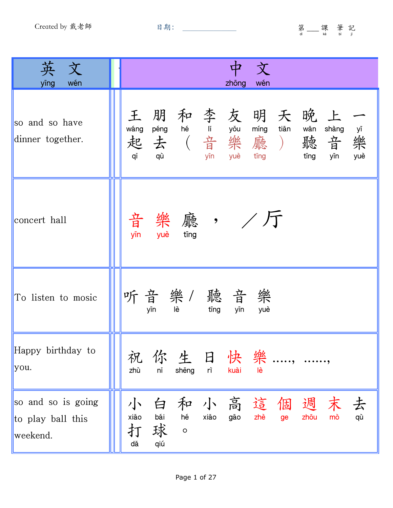| 英<br>文<br>wén<br>yīng                               | 文<br>wén<br>zhōng                                                                                                                                                         |
|-----------------------------------------------------|---------------------------------------------------------------------------------------------------------------------------------------------------------------------------|
| so and so have<br>dinner together.                  | 王朋和李友明天晚上<br>wáng péng hé lǐ yǒu míng tiān<br>走巴去 (音樂廳)<br>wáng<br>wǎn<br>shàng<br>yī<br>樂<br>聽<br>音<br>yuè<br>qĭ<br>qù<br><b>Example 1</b><br>yīn<br>tīng<br>yuè<br>tīng |
| concert hall                                        | 音樂<br>廳, /厅<br>yuè<br>yīn<br>tīng                                                                                                                                         |
| To listen to mosic                                  | <mark>听音樂/聽音樂</mark>                                                                                                                                                      |
| Happy birthday to<br>you.                           | 你生日快樂<br>祝<br>shēng<br>zhù<br>rì<br>kuài<br>nĭ<br>lè                                                                                                                      |
| so and so is going<br>to play ball this<br>weekend. | 高<br>這個<br>和<br>週<br>去<br>末<br>白<br>小<br>小<br>qù<br>hé<br>bái<br>xiǎo<br>gāo<br>zhè<br>xiǎo<br>zhōu<br>ge<br>mò<br>球<br>打<br>$\circ$<br>qiú<br>dǎ                         |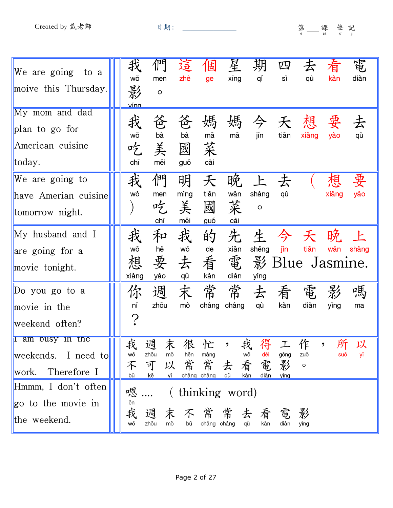Created by 戴老師 日期: \_\_\_\_\_\_\_ 第\_\_\_課 筆記

| We are going<br>to a<br>moive this Thursday.                   |      | 我<br>wŏ<br>影<br><u>vǐna</u>         | 們<br>men<br>$\circ$                    | 廷<br>zhè              | 俋<br>ge                         | 星<br>xīng                                       | 期<br>qí                          | 四<br>sì                  | qù                         | kàn           | 電<br>diàn |
|----------------------------------------------------------------|------|-------------------------------------|----------------------------------------|-----------------------|---------------------------------|-------------------------------------------------|----------------------------------|--------------------------|----------------------------|---------------|-----------|
| My mom and dad<br>plan to go for<br>American cuisine<br>today. |      | 我<br>wǒ<br>$F_{\mathcal{L}}$<br>chī | 仓<br>bà<br>美<br>měi                    | 爸<br>bà<br>國<br>guó   | 媽<br>mā<br>菜<br>cài             | 媽<br>mā                                         | 今<br>jīn                         | 天<br>tiān                | 想<br>xiǎng                 | 要<br>yào      | 去<br>qù   |
| We are going to<br>have Amerian cuisine<br>tomorrow night.     |      | 我<br>wǒ                             | 們<br>men<br>$p_{\mathcal{L}}^L$<br>chī | 明<br>míng<br>美<br>měi | 夭<br>tiān<br>國<br>quó           | 晚.<br>wǎn<br>菜<br>cài                           | $\mathsf{E}$<br>shàng<br>$\circ$ | 去<br>qù                  |                            | 想<br>xiǎng    | 要<br>yào  |
| My husband and I<br>are going for a<br>movie tonight.          |      | 我<br>WŎ<br>想<br>xiǎng               | 和<br>hé<br>要<br>yào                    | 我<br>WŎ<br>去<br>qù    | 的<br>de<br>看<br>kàn             | 先<br>xiān<br>電<br>diàn                          | 牛<br>shēng<br>影<br>ying          | 今<br>jīn                 | 夭<br>tiān<br>Blue Jasmine. | 晚<br>wăn      | shàng     |
| Do you go to a<br>movie in the<br>weekend often?               |      | 你<br>nĭ                             | 週<br>zhōu                              | mò                    | 常<br>cháng                      | 常<br>cháng                                      | 去<br>qù                          | 看<br>kàn                 | 電<br>diàn                  | 影<br>yǐng     | 嗎<br>ma   |
| I am busy in the<br>weekends. I need to<br>work. Therefore I   | 1111 | 我<br>wǒ<br>不<br>bú                  | 週<br>末<br>zhōu<br>可以常常去看<br><u>kě</u>  | mò hěn                | máng<br><u>vǐ cháng cháng l</u> | 很忙,我得工作<br><b>WŎ</b><br><u>kàn</u><br><u>aù</u> | děi<br>電<br><u>diàn</u>          | gōng<br>影<br><u>vina</u> | zuò<br>$\circ$             | 所<br>,<br>suǒ | 以<br>уĭ   |
| Hmmm, I don't often <br>go to the movie in<br>the weekend.     |      | 嗯<br>en<br>我<br>wŏ                  | <br>週末不常<br>zhōu<br>mò                 | bú                    | cháng cháng                     | (thinking word)<br>常<br>qù                      | 去看<br>kàn                        | 電<br>diàn                | 影<br>ying                  |               |           |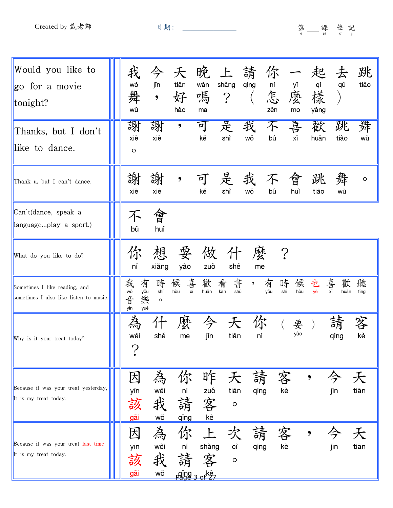## Created by 戴老師 日期: \_\_\_\_\_\_\_ 第\_\_\_課 筆記

| Would you like to<br>go for a movie<br>tonight?                         | wŏ<br>舞<br>wŭ                               | 今<br>jīn<br>$\bullet$ | 天<br>tian<br>好<br>hǎo | wǎn<br>嗎<br>ma                           | 晚上請<br>shàng<br>$\ddot{\cdot}$ | qing       | 你<br>nĭ<br>怎<br>zěn | $\overline{\phantom{m}}$<br>уī<br>麽<br>mo | 起<br>qĭ<br>樣<br>yàng    | 去<br>qù              | 跳<br>tiào |
|-------------------------------------------------------------------------|---------------------------------------------|-----------------------|-----------------------|------------------------------------------|--------------------------------|------------|---------------------|-------------------------------------------|-------------------------|----------------------|-----------|
| Thanks, but I don't<br>like to dance.                                   | 謝<br>xiè<br>$\circ$                         | 謝<br>xiè              | $\pmb{9}$             | $\mathbf{p}$<br>kě                       | 是<br>shì                       | 我<br>WŎ    | bú                  | 喜<br>Χľ                                   | 歡<br>huān               | 跳<br>tiào            | 粦<br>wŭ   |
| Thank u, but I can't dance.                                             | 謝<br>xiè                                    | 謝<br>xiè              | ,                     | 可<br>kě                                  | shì                            | 是我不會<br>wǒ | bú                  | huì                                       | 跳<br>tiào               | wŭ                   | $\circ$   |
| Can't(dance, speak a<br>languageplay a sport.)                          | bú                                          | 會<br>huì              |                       |                                          |                                |            |                     |                                           |                         |                      |           |
| What do you like to do?                                                 | 你<br>nĭ                                     | 想<br>xiǎng            | 要<br>yào              | zuò                                      | 做 什<br>shé                     | 麽<br>me    | $\cdot$ ?           |                                           |                         |                      |           |
| Sometimes I like reading, and<br>sometimes I also like listen to music. | 我<br>有<br>yŏu<br>WŎ<br>樂<br>音<br>yīn<br>yuè | 時<br>shí<br>$\circ$   | 喜<br>候<br>hòu<br>хĭ   | 歡<br>huān                                | 看<br>書<br>kàn<br>shū           | ,          | 有<br>yǒu            | 候<br>時<br>shí<br>hòu                      | 也<br>yě                 | 喜<br>歡<br>хĭ<br>huān | 聽<br>tīng |
| Why is it your treat today?                                             | wèi                                         | shé                   | 麼<br>me               | jīn                                      | tiān                           | nĭ         |                     | 要<br>yào                                  |                         | qing                 | kè        |
| Because it was your treat yesterday,<br>It is my treat today.           | 达<br>yīn<br>gāi                             | 為<br>wèi<br>WŎ        | 你<br>nĭ<br>請<br>qing  | zuó<br>客<br>kè                           | 昨天<br>tiān<br>$\circ$          | 請<br>qing  |                     | 客<br>kè                                   | $\bullet$               | jīn                  | 大<br>tiān |
| Because it was your treat last time<br>It is my treat today.            | 因<br>yīn<br>gāi                             | 為<br>wèi<br>WŎ        | 你<br>nĭ<br>請          | 上<br>shàng<br>客<br><u>pging 3 of key</u> | 次<br>cì<br>$\circ$             | 請<br>qing  |                     | 客<br>kè                                   | $\overline{\mathbf{z}}$ | jīn                  | 大<br>tiān |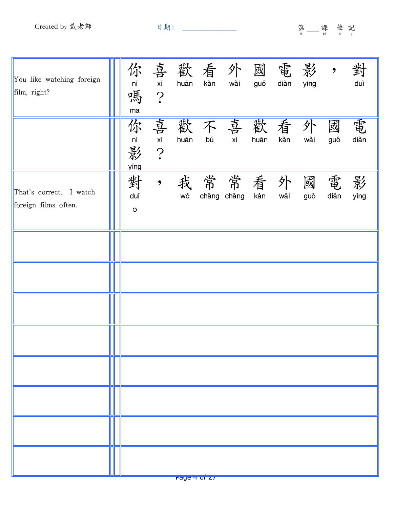Created by 戴老師 日期: \_\_\_\_\_\_\_ 第\_\_\_課 筆記

| You like watching foreign<br>film, right?       | nĭ<br>嗎<br>ma                         | X<br>$\cdot$ ?       | huān         | kàn | 你喜歡看外國<br>wài | guó  | diàn       | 電影<br>yǐng | $\bullet$ | duì       |
|-------------------------------------------------|---------------------------------------|----------------------|--------------|-----|---------------|------|------------|------------|-----------|-----------|
|                                                 | 你<br>$n\tilde{l}$<br>影<br><u>vǐng</u> | 喜<br>XĬ<br>$\cdot$ ? | huān         | bú  | 歡不喜歡看外<br>xǐ  | huān | kàn        | wài        | 國<br>guó  | 電<br>diàn |
| That's correct. I watch<br>foreign films often. | 對<br>duì<br>$\circ$                   | $\bullet$            | 我<br>WŎ      | 常   | cháng cháng   | kàn  | 常看外<br>wài | 國<br>guó   | 電<br>diàn | 影<br>yǐng |
|                                                 |                                       |                      |              |     |               |      |            |            |           |           |
|                                                 |                                       |                      |              |     |               |      |            |            |           |           |
|                                                 |                                       |                      |              |     |               |      |            |            |           |           |
|                                                 |                                       |                      |              |     |               |      |            |            |           |           |
|                                                 |                                       |                      |              |     |               |      |            |            |           |           |
|                                                 |                                       |                      |              |     |               |      |            |            |           |           |
|                                                 |                                       |                      |              |     |               |      |            |            |           |           |
|                                                 |                                       |                      | Page 4 of 27 |     |               |      |            |            |           |           |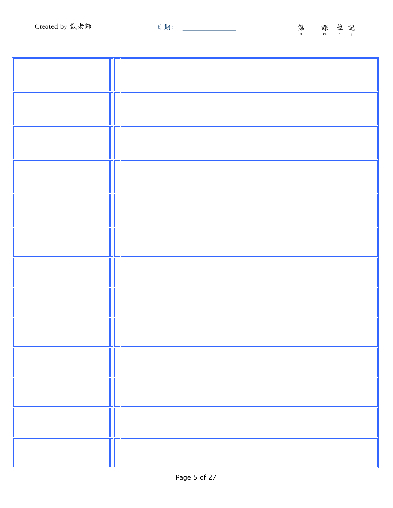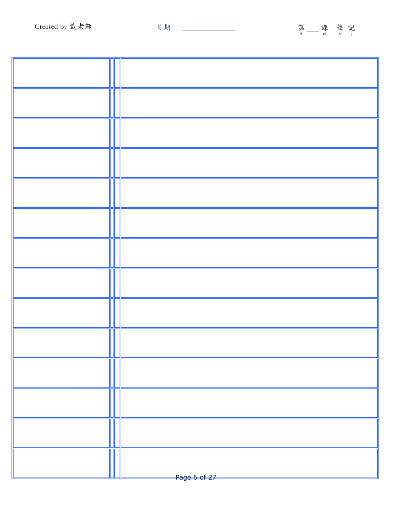| Page 6 of 27 |  |  |  |  |  |  |
|--------------|--|--|--|--|--|--|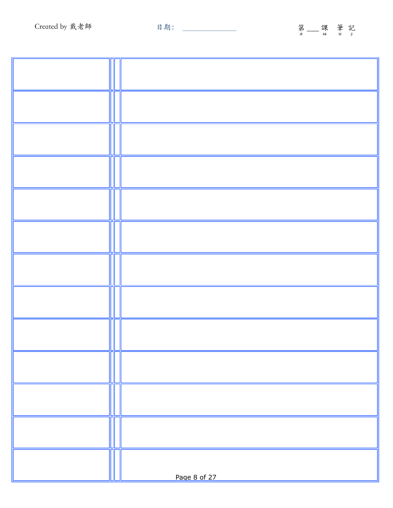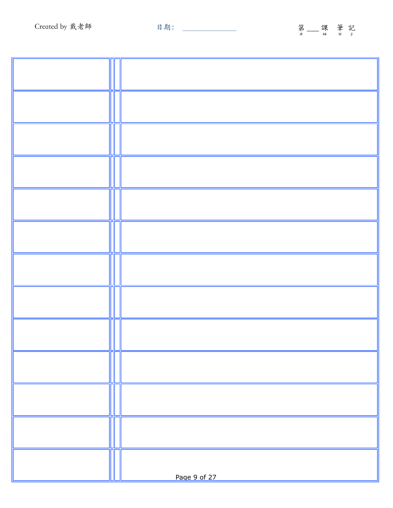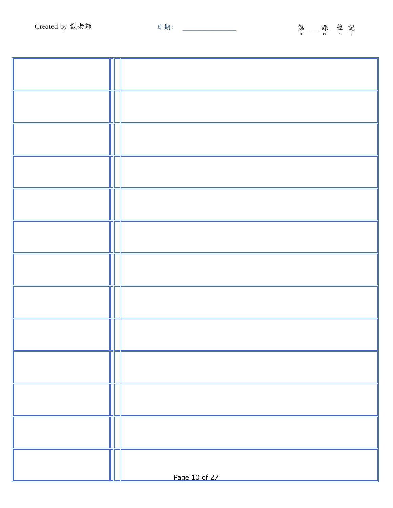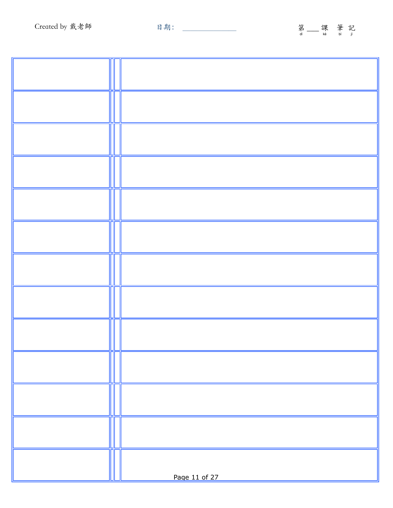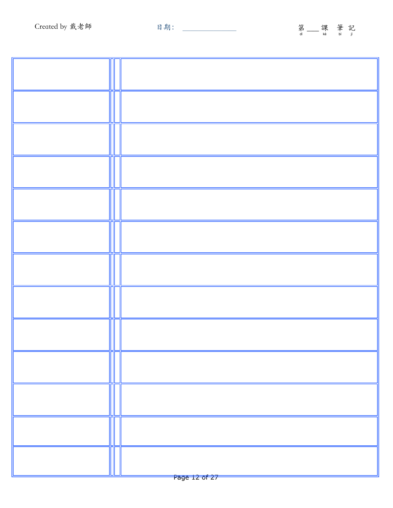| Page 12 of 27 |  |  |  |  |  |  |
|---------------|--|--|--|--|--|--|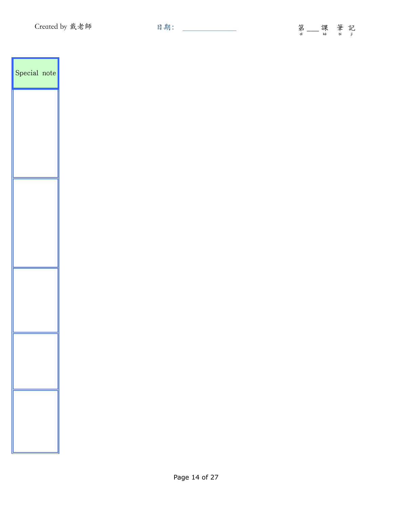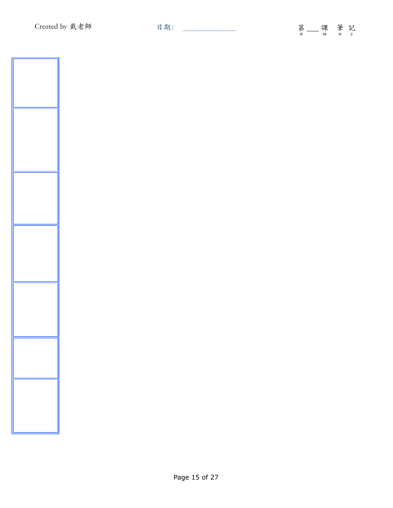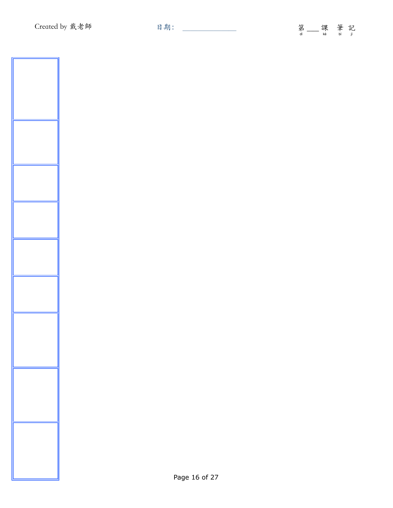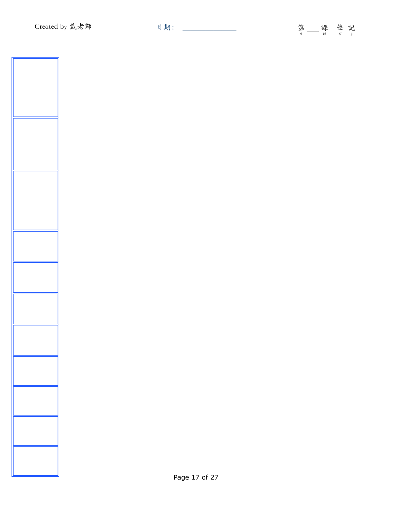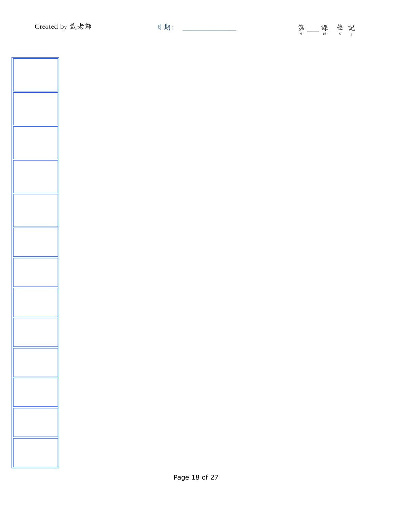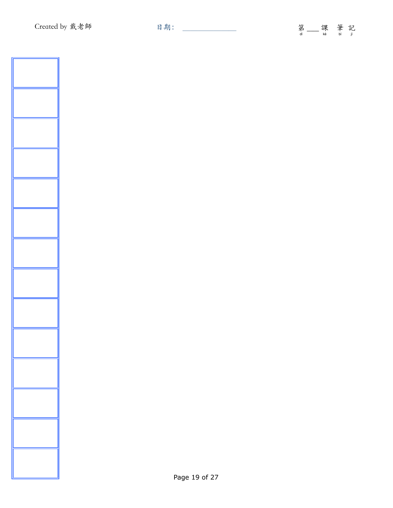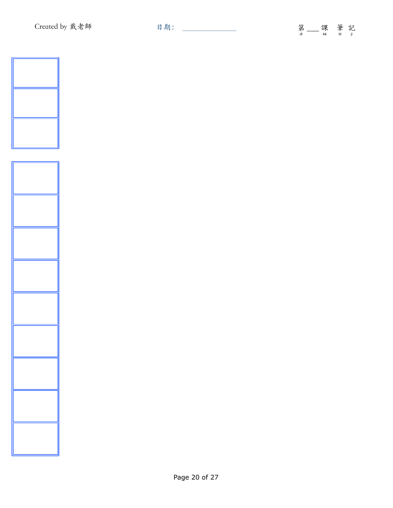

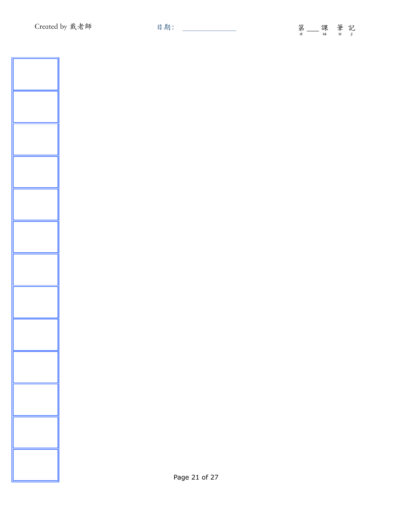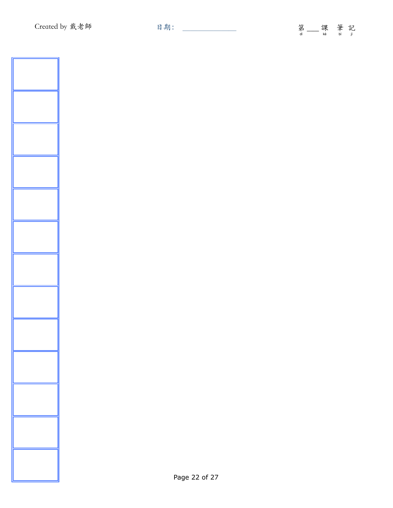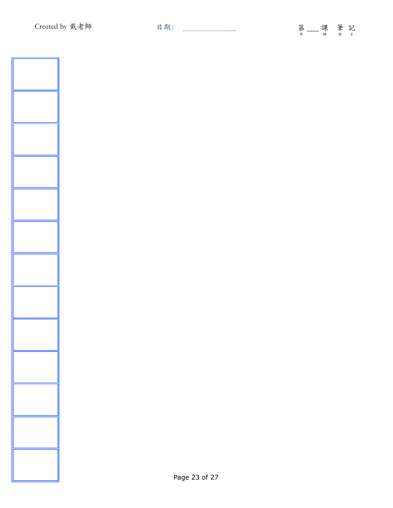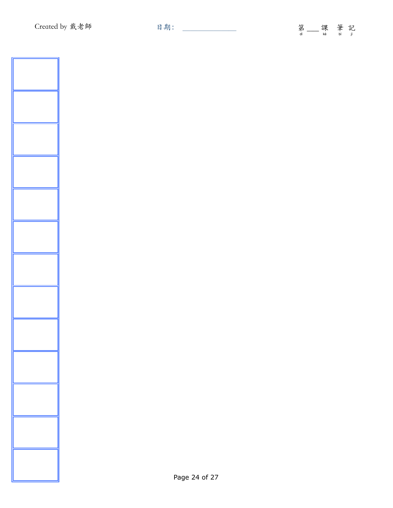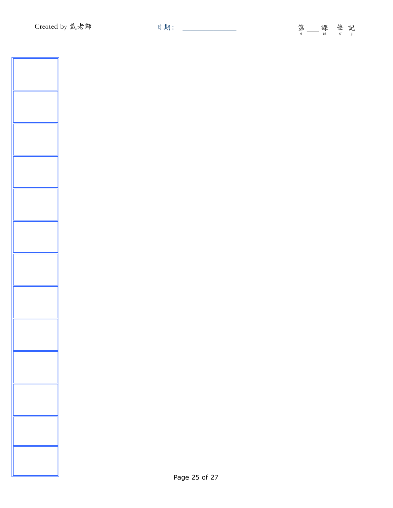